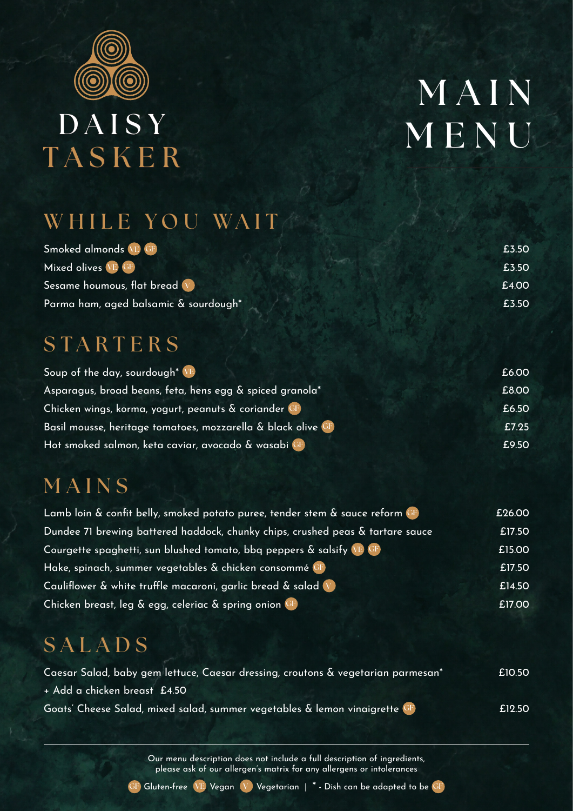

# **DAISY TASKER**

# **M A I N MENU**

#### WHILE YOU WAIT

| Smoked almonds VE GF                  | £3.50 |
|---------------------------------------|-------|
| Mixed olives VE GF                    | £3.50 |
| Sesame houmous, flat bread V          | £4.00 |
| Parma ham, aged balsamic & sourdough* | £3.50 |

#### **STARTERS**

| Soup of the day, sourdough <sup>*</sup> VE                | £6.00 |
|-----------------------------------------------------------|-------|
| Asparagus, broad beans, feta, hens egg & spiced granola*  | £8.00 |
| Chicken wings, korma, yogurt, peanuts & coriander GF      | £6.50 |
| Basil mousse, heritage tomatoes, mozzarella & black olive | £7.25 |
| Hot smoked salmon, keta caviar, avocado & wasabi CF       | £9.50 |

#### **MAINS**

| Lamb loin & confit belly, smoked potato puree, tender stem & sauce reform CF   | £26.00 |
|--------------------------------------------------------------------------------|--------|
| Dundee 71 brewing battered haddock, chunky chips, crushed peas & tartare sauce | £17.50 |
| Courgette spaghetti, sun blushed tomato, bbg peppers & salsify VE GF           | £15.00 |
| Hake, spinach, summer vegetables & chicken consommé CF                         | £17.50 |
| Cauliflower & white truffle macaroni, garlic bread & salad V                   | £14.50 |
| Chicken breast, leg & egg, celeriac & spring onion GF                          | £17.00 |

## **SALADS**

| Caesar Salad, baby gem lettuce, Caesar dressing, croutons & vegetarian parmesan* | £10.50 |
|----------------------------------------------------------------------------------|--------|
| + Add a chicken breast £4.50                                                     |        |
| Goats' Cheese Salad, mixed salad, summer vegetables & lemon vinaigrette GF       | £12.50 |

Our menu description does not include a full description of ingredients, please ask of our allergen's matrix for any allergens or intolerances